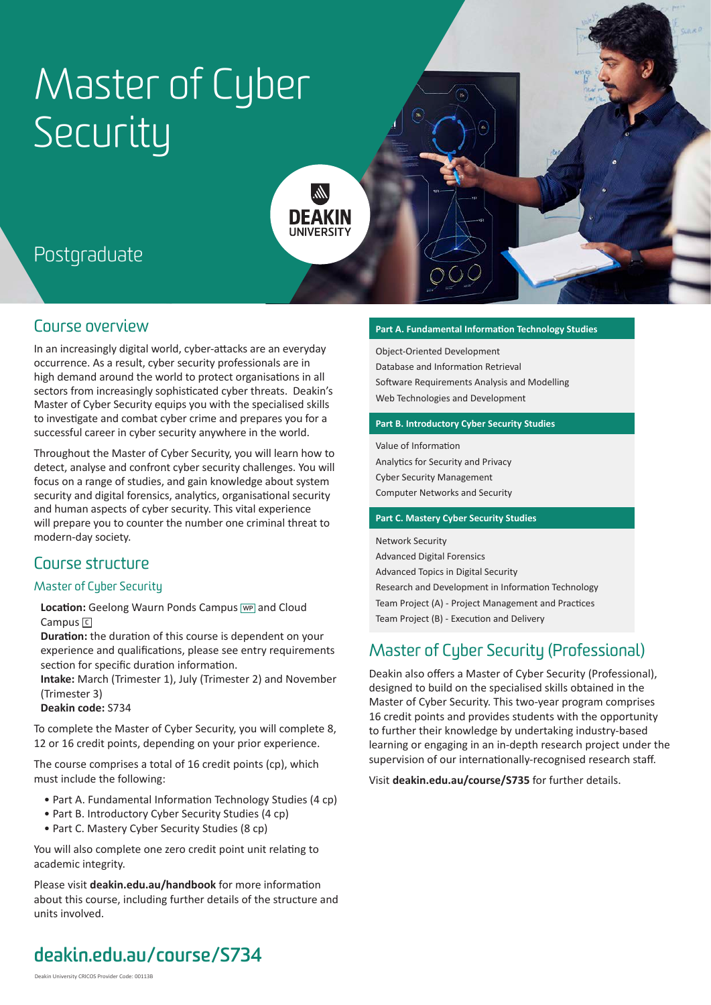# Master of Cyber Security

lir. **DFAKIN** 

# Postgraduate

## Course overview

In an increasingly digital world, cyber-attacks are an everyday occurrence. As a result, cyber security professionals are in high demand around the world to protect organisations in all sectors from increasingly sophisticated cyber threats. Deakin's Master of Cyber Security equips you with the specialised skills to investigate and combat cyber crime and prepares you for a successful career in cyber security anywhere in the world.

Throughout the Master of Cyber Security, you will learn how to detect, analyse and confront cyber security challenges. You will focus on a range of studies, and gain knowledge about system security and digital forensics, analytics, organisational security and human aspects of cyber security. This vital experience will prepare you to counter the number one criminal threat to modern-day society.

## Course structure

#### Master of Cyber Security

**Location:** Geelong Waurn Ponds Campus **WP** and Cloud Campus **<sup>C</sup>**

**Duration:** the duration of this course is dependent on your experience and qualifications, please see entry requirements section for specific duration information.

**Intake:** March (Trimester 1), July (Trimester 2) and November (Trimester 3)

**Deakin code:** S734

To complete the Master of Cyber Security, you will complete 8, 12 or 16 credit points, depending on your prior experience.

The course comprises a total of 16 credit points (cp), which must include the following:

- Part A. Fundamental Information Technology Studies (4 cp)
- Part B. Introductory Cyber Security Studies (4 cp)
- Part C. Mastery Cyber Security Studies (8 cp)

You will also complete one zero credit point unit relating to academic integrity.

Please visit **[deakin.edu.au/handbook](https://www.deakin.edu.au/handbook)** for more information about this course, including further details of the structure and units involved.

#### **Part A. Fundamental Information Technology Studies**

Object-Oriented Development Database and Information Retrieval Software Requirements Analysis and Modelling Web Technologies and Development

#### **Part B. Introductory Cyber Security Studies**

Value of Information Analytics for Security and Privacy Cyber Security Management Computer Networks and Security

#### **Part C. Mastery Cyber Security Studies**

Network Security Advanced Digital Forensics Advanced Topics in Digital Security Research and Development in Information Technology Team Project (A) - Project Management and Practices Team Project (B) - Execution and Delivery

## Master of Cyber Security (Professional)

Deakin also offers a Master of Cyber Security (Professional), designed to build on the specialised skills obtained in the Master of Cyber Security. This two-year program comprises 16 credit points and provides students with the opportunity to further their knowledge by undertaking industry-based learning or engaging in an in-depth research project under the supervision of our internationally-recognised research staff.

Visit **[deakin.edu.au/course/S735](https://www.deakin.edu.au/course/S735)** for further details.

# **[deakin.edu.au/course/S734](https://www.deakin.edu.au/course/S734)**